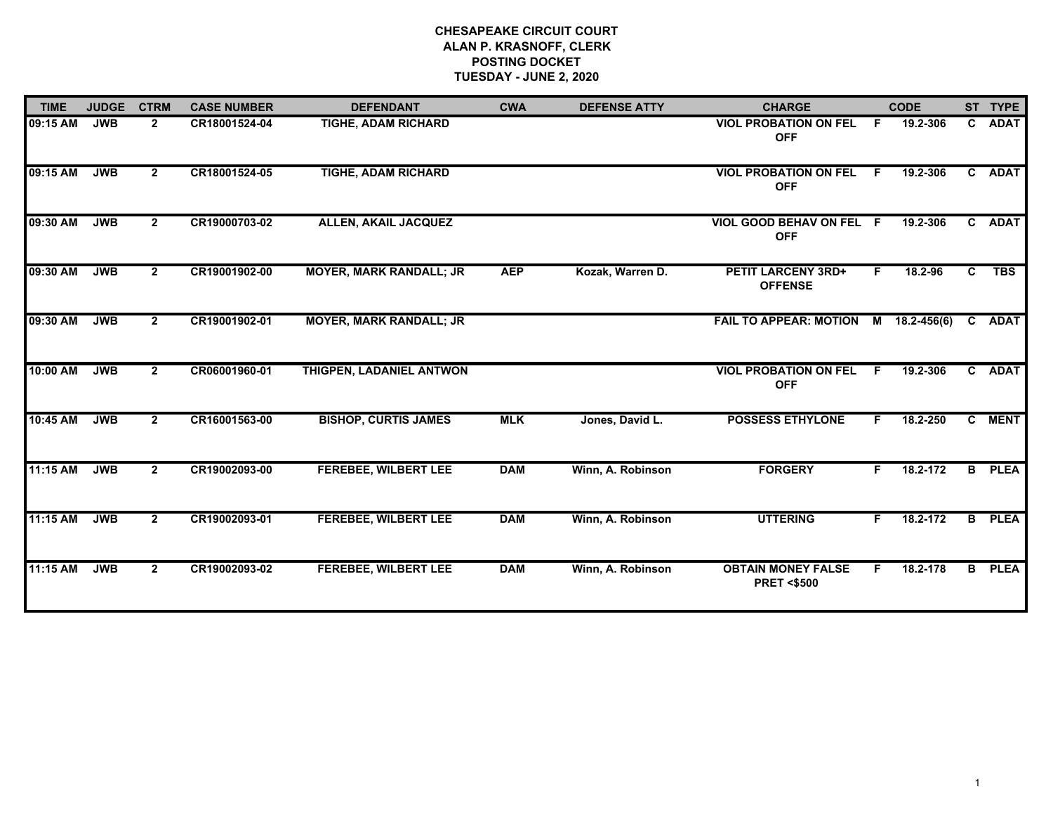## **CHESAPEAKE CIRCUIT COURT ALAN P. KRASNOFF, CLERK POSTING DOCKET TUESDAY - JUNE 2, 2020**

| <b>TIME</b> | <b>JUDGE</b> | <b>CTRM</b>    | <b>CASE NUMBER</b> | <b>DEFENDANT</b>               | <b>CWA</b> | <b>DEFENSE ATTY</b> | <b>CHARGE</b>                                      |    | <b>CODE</b>   |              | ST TYPE       |
|-------------|--------------|----------------|--------------------|--------------------------------|------------|---------------------|----------------------------------------------------|----|---------------|--------------|---------------|
| 09:15 AM    | <b>JWB</b>   | $\mathbf{2}$   | CR18001524-04      | <b>TIGHE, ADAM RICHARD</b>     |            |                     | <b>VIOL PROBATION ON FEL</b><br><b>OFF</b>         | -F | 19.2-306      | $\mathbf{C}$ | <b>ADAT</b>   |
| 09:15 AM    | <b>JWB</b>   | $\mathbf{2}$   | CR18001524-05      | <b>TIGHE, ADAM RICHARD</b>     |            |                     | <b>VIOL PROBATION ON FEL</b><br><b>OFF</b>         | -F | 19.2-306      |              | C ADAT        |
| 09:30 AM    | <b>JWB</b>   | $\mathbf{2}$   | CR19000703-02      | <b>ALLEN, AKAIL JACQUEZ</b>    |            |                     | <b>VIOL GOOD BEHAV ON FEL F</b><br><b>OFF</b>      |    | 19.2-306      |              | C ADAT        |
| 09:30 AM    | <b>JWB</b>   | $\overline{2}$ | CR19001902-00      | <b>MOYER, MARK RANDALL; JR</b> | <b>AEP</b> | Kozak, Warren D.    | <b>PETIT LARCENY 3RD+</b><br><b>OFFENSE</b>        | F. | 18.2-96       | $\mathbf{c}$ | <b>TBS</b>    |
| 09:30 AM    | <b>JWB</b>   | $\overline{2}$ | CR19001902-01      | <b>MOYER, MARK RANDALL; JR</b> |            |                     | <b>FAIL TO APPEAR: MOTION</b>                      |    | M 18.2-456(6) | $\mathbf{c}$ | <b>ADAT</b>   |
| 10:00 AM    | <b>JWB</b>   | $\mathbf{2}$   | CR06001960-01      | THIGPEN, LADANIEL ANTWON       |            |                     | <b>VIOL PROBATION ON FEL</b><br><b>OFF</b>         | F  | 19.2-306      |              | C ADAT        |
| 10:45 AM    | <b>JWB</b>   | $\mathbf{2}$   | CR16001563-00      | <b>BISHOP, CURTIS JAMES</b>    | <b>MLK</b> | Jones, David L.     | <b>POSSESS ETHYLONE</b>                            |    | 18.2-250      |              | C MENT        |
| 11:15 AM    | <b>JWB</b>   | $\mathbf{2}$   | CR19002093-00      | <b>FEREBEE, WILBERT LEE</b>    | <b>DAM</b> | Winn, A. Robinson   | <b>FORGERY</b>                                     | F. | 18.2-172      |              | <b>B</b> PLEA |
| 11:15 AM    | <b>JWB</b>   | $\overline{2}$ | CR19002093-01      | <b>FEREBEE, WILBERT LEE</b>    | <b>DAM</b> | Winn, A. Robinson   | <b>UTTERING</b>                                    | F. | 18.2-172      | B.           | <b>PLEA</b>   |
| 11:15 AM    | <b>JWB</b>   | $\overline{2}$ | CR19002093-02      | <b>FEREBEE, WILBERT LEE</b>    | <b>DAM</b> | Winn, A. Robinson   | <b>OBTAIN MONEY FALSE</b><br><b>PRET &lt;\$500</b> | F. | 18.2-178      | $\mathbf{B}$ | <b>PLEA</b>   |